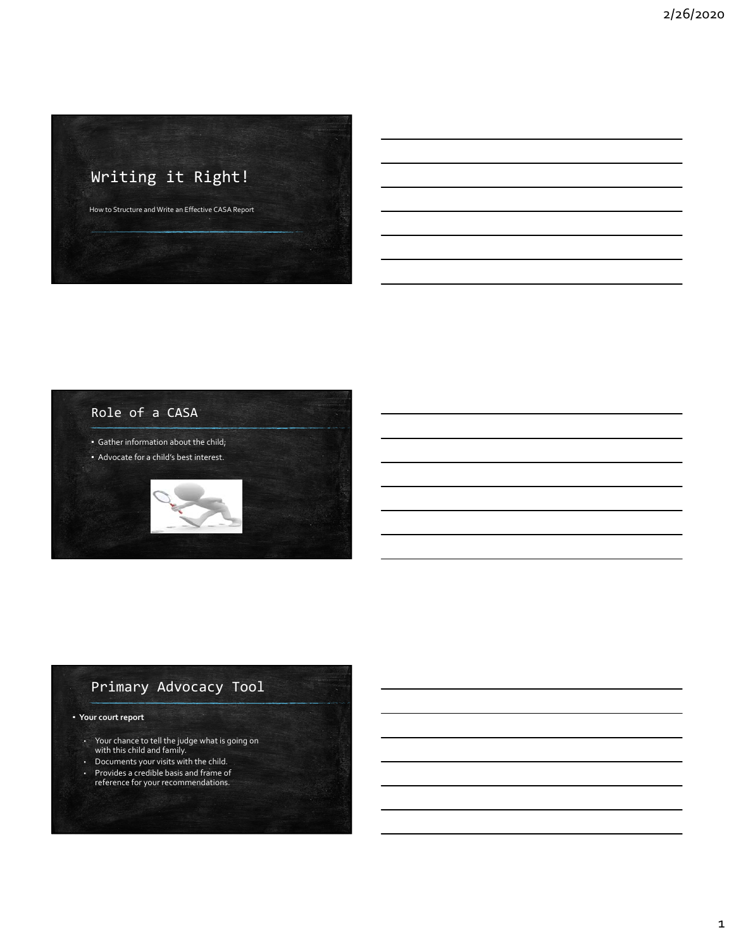# Writing it Right! How to Structure and Write an Effective CASA Report



# Primary Advocacy Tool

### ▪ **Your court report**

- Your chance to tell the judge what is going on with this child and family.
- Documents your visits with the child.
- Provides a credible basis and frame of reference for your recommendations.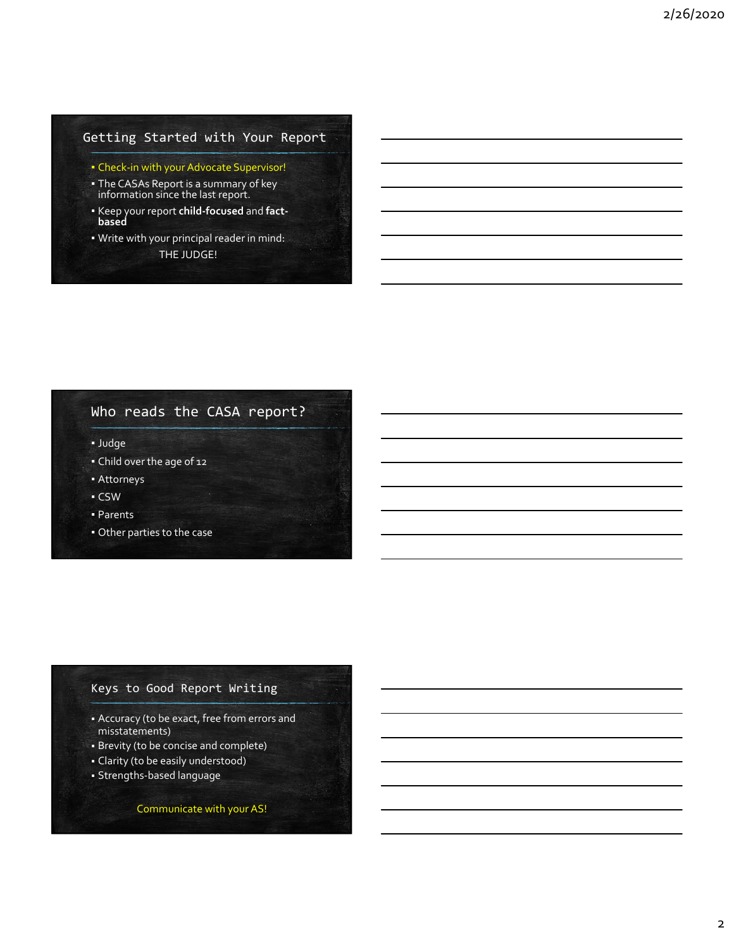## Getting Started with Your Report

- Check‐in with your Advocate Supervisor!
- **The CASAs Report is a summary of key** information since the last report.
- Keep your report **child‐focused** and **fact‐ based**
- Write with your principal reader in mind: THE JUDGE!

# Who reads the CASA report?

▪ Judge

- Child over the age of 12
- Attorneys
- CSW
- Parents
- Other parties to the case

### Keys to Good Report Writing

- Accuracy (to be exact, free from errors and misstatements)
- Brevity (to be concise and complete)
- Clarity (to be easily understood)
- Strengths‐based language

Communicate with your AS!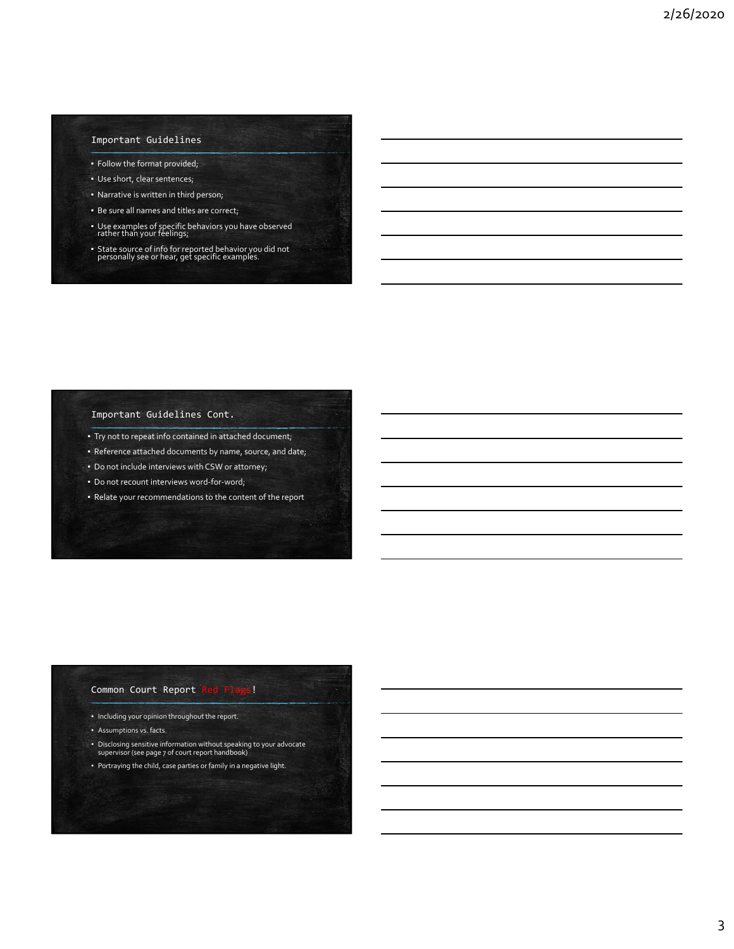### Important Guidelines

- Follow the format provided;
- Use short, clear sentences;
- Narrative is written in third person;
- **·** Be sure all names and titles are correct;
- Use examples of specific behaviors you have observed rather than your feelings;
- State source of info for reported behavior you did not personally see or hear, get specific examples.

### Important Guidelines Cont.

- Try not to repeat info contained in attached document;
- Reference attached documents by name, source, and date;
- Do not include interviews with CSW or attorney;
- Do not recount interviews word-for-word;
- Relate your recommendations to the content of the report

### Common Court Report Red Flags!

- Including your opinion throughout the report.
- Assumptions vs. facts.
- Disclosing sensitive information without speaking to your advocate supervisor (see page 7 of court report handbook)
- Portraying the child, case parties or family in a negative light.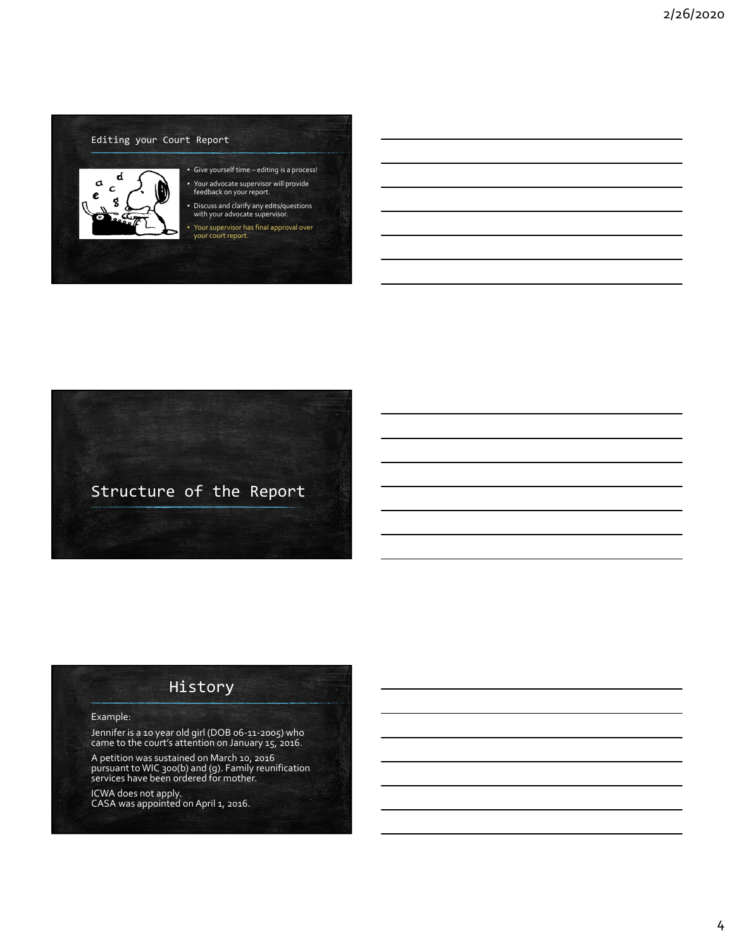### Editing your Court Report



# ▪ Give yourself time – editing is a process! ▪ Your advocate supervisor will provide feedback on your report.

▪ Discuss and clarify any edits/questions with your advocate supervisor.

▪ Your supervisor has final approval over your court report.



# History

#### Example:

Jennifer is <sup>a</sup> <sup>10</sup> year old girl (DOB <sup>06</sup>‐11‐2005) who came to the court's attention on January 15, 2016.

A petition was sustained on March 10, 2016 pursuant to WIC 300(b) and (g). Family reunification services have been ordered for mother.

ICWA does not apply. CASA was appointed on April 1, 2016.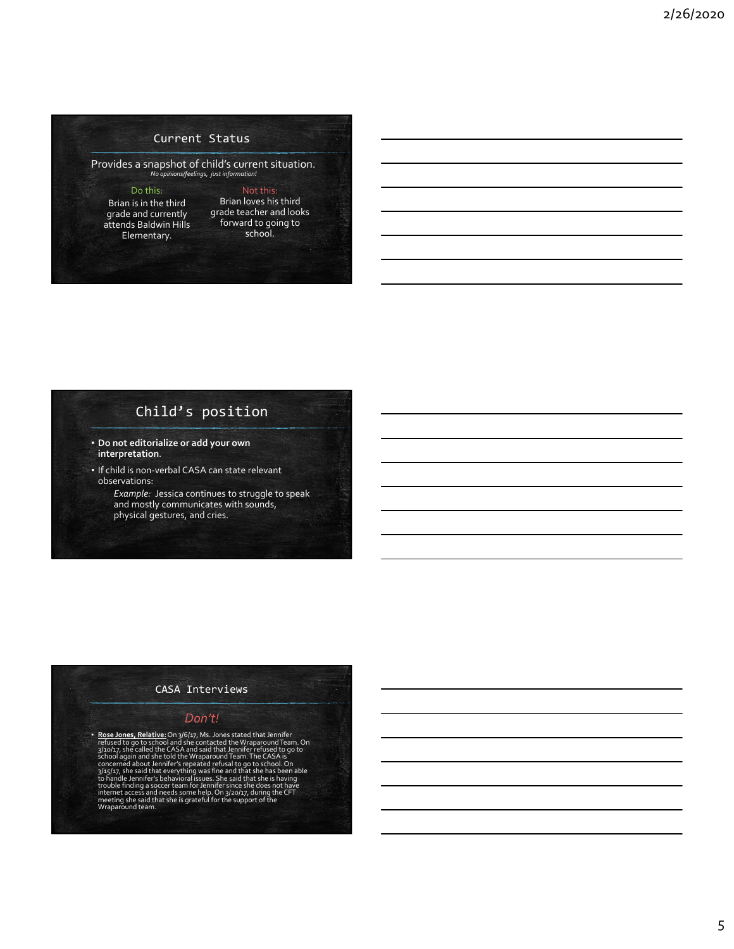### Current Status

Provides a snapshot of child's current situation. *No opinions/feelings, just information!*

#### Do this:

Brian is in the third grade and currently attends Baldwin Hills Elementary.

Brian loves his third grade teacher and looks forward to going to school.

Not this:

# Child's position

- **Do not editorialize or add your own interpretation**.
- If child is non-verbal CASA can state relevant observations:
	- *Example:* Jessica continues to struggle to speak and mostly communicates with sounds, physical gestures, and cries.

### CASA Interviews

### *Don't!*

**Rose Jones, Relative:** On 3/6/17, Ms. Jones stated that Jennifer<br>refused to go to school and she contacted the Wraparound Team. On<br>school again and she contacted the Wraparound Team.<br>school again and she told the Wraparou trouble finding a soccer team for Jennifer since she does not have<br>internet access and needs some help. On 3/20/17, during the CFT<br>meeting she said that she is grateful for the support of the<br>Wraparound team.